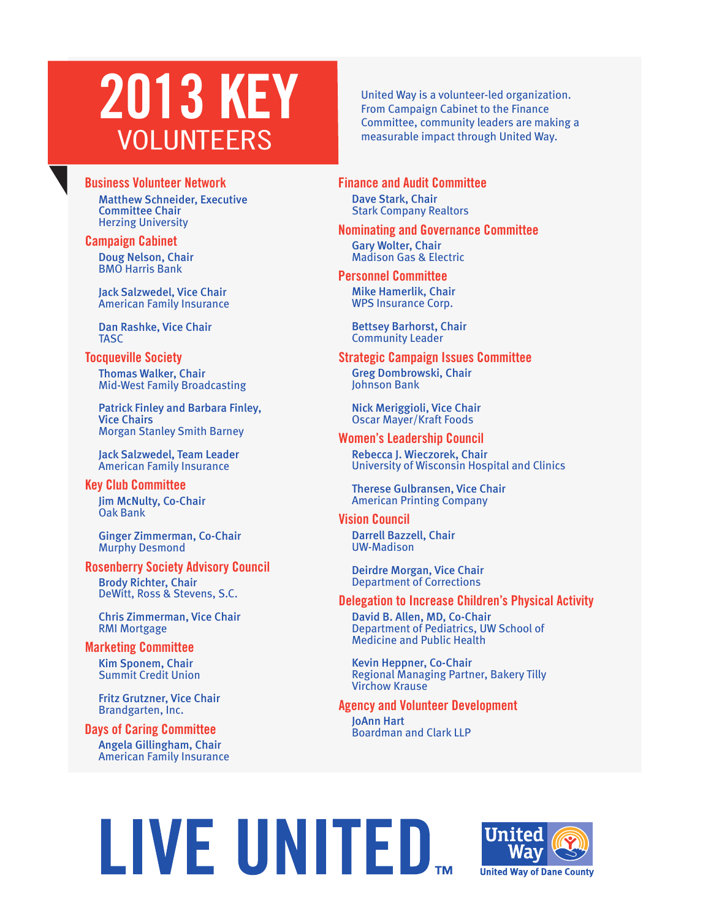## **2013 KEY** VOLUNTEERS

### **Business Volunteer Network**

Matthew Schneider, Executive Committee Chair Herzing University

### **Campaign Cabinet**

Doug Nelson, Chair BMO Harris Bank

Jack Salzwedel, Vice Chair American Family Insurance

Dan Rashke, Vice Chair **TASC** 

### **Tocqueville Society**

Thomas Walker, Chair Mid-West Family Broadcasting

Patrick Finley and Barbara Finley, Vice Chairs Morgan Stanley Smith Barney

Jack Salzwedel, Team Leader American Family Insurance

Jim McNulty, Co-Chair Oak Bank **Key Club Committee**

Ginger Zimmerman, Co-Chair Murphy Desmond

### **Rosenberry Society Advisory Council**

Brody Richter, Chair DeWitt, Ross & Stevens, S.C.

Chris Zimmerman, Vice Chair RMI Mortgage

Kim Sponem, Chair Summit Credit Union **Marketing Committee**

> Fritz Grutzner, Vice Chair Brandgarten, Inc.

Angela Gillingham, Chair American Family Insurance **Days of Caring Committee**

United Way is a volunteer-led organization. From Campaign Cabinet to the Finance Committee, community leaders are making a measurable impact through United Way.

Dave Stark, Chair Stark Company Realtors **Finance and Audit Committee**

### **Nominating and Governance Committee**

Gary Wolter, Chair Madison Gas & Electric

Mike Hamerlik, Chair WPS Insurance Corp. **Personnel Committee**

> Bettsey Barhorst, Chair Community Leader

### **Strategic Campaign Issues Committee**

Greg Dombrowski, Chair Johnson Bank

Nick Meriggioli, Vice Chair Oscar Mayer/Kraft Foods

### **Women's Leadership Council**

Rebecca J. Wieczorek, Chair University of Wisconsin Hospital and Clinics

Therese Gulbransen, Vice Chair American Printing Company

### **Vision Council**

Darrell Bazzell, Chair UW-Madison

Deirdre Morgan, Vice Chair Department of Corrections

### **Delegation to Increase Children's Physical Activity**

David B. Allen, MD, Co-Chair Department of Pediatrics, UW School of Medicine and Public Health

Kevin Heppner, Co-Chair Regional Managing Partner, Bakery Tilly Virchow Krause

**Agency and Volunteer Development**

JoAnn Hart Boardman and Clark LLP

# LIVE UNITED...